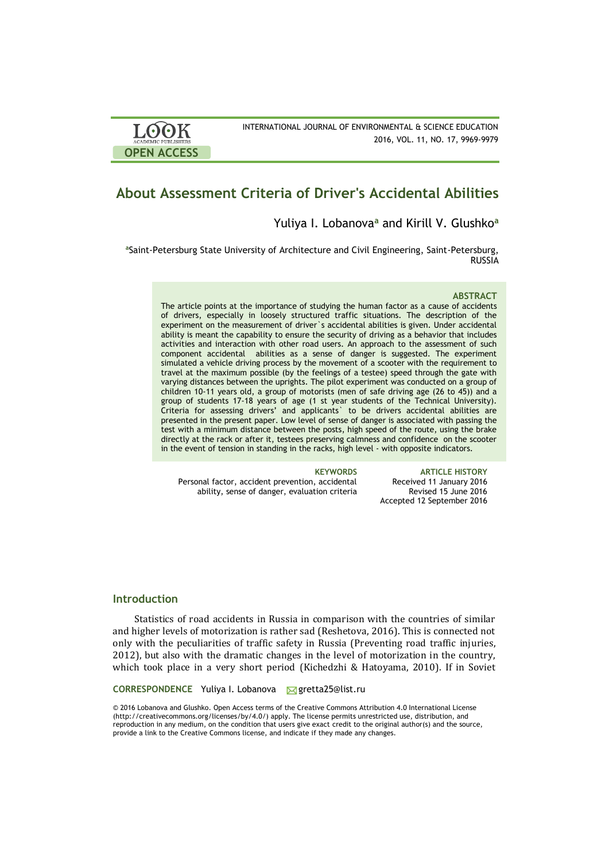| <b>LOOK</b>                | INTERNATIONAL JOURNAL OF ENVIRONMENTAL & SCIENCE EDUCATION |
|----------------------------|------------------------------------------------------------|
| <b>ACADEMIC PUBLISHERS</b> | 2016, VOL. 11, NO. 17, 9969-9979                           |
| <b>OPEN ACCESS</b>         |                                                            |

# **About Assessment Criteria of Driver's Accidental Abilities**

# Yuliya I. Lobanova**<sup>a</sup>** and Kirill V. Glushko**<sup>a</sup>**

**<sup>a</sup>**Saint-Petersburg State University of Architecture and Civil Engineering, Saint-Petersburg, RUSSIA

#### **ABSTRACT**

The article points at the importance of studying the human factor as a cause of accidents of drivers, especially in loosely structured traffic situations. The description of the experiment on the measurement of driver`s accidental abilities is given. Under accidental ability is meant the capability to ensure the security of driving as a behavior that includes activities and interaction with other road users. An approach to the assessment of such component accidental abilities as a sense of danger is suggested. The experiment simulated a vehicle driving process by the movement of a scooter with the requirement to travel at the maximum possible (by the feelings of a testee) speed through the gate with varying distances between the uprights. The pilot experiment was conducted on a group of children 10-11 years old, a group of motorists (men of safe driving age (26 to 45)) and a group of students 17-18 years of age (1 st year students of the Technical University). Criteria for assessing drivers' and applicants` to be drivers accidental abilities are presented in the present paper. Low level of sense of danger is associated with passing the test with a minimum distance between the posts, high speed of the route, using the brake directly at the rack or after it, testees preserving calmness and confidence on the scooter in the event of tension in standing in the racks, high level - with opposite indicators.

Personal factor, accident prevention, accidental ability, sense of danger, evaluation criteria

**KEYWORDS ARTICLE HISTORY** Received 11 January 2016 Revised 15 June 2016 Accepted 12 September 2016

# **Introduction**

Statistics of road accidents in Russia in comparison with the countries of similar and higher levels of motorization is rather sad (Reshetova, 2016). This is connected not only with the peculiarities of traffic safety in Russia (Preventing road traffic injuries, 2012), but also with the dramatic changes in the level of motorization in the country, which took place in a very short period (Kichedzhi & Hatoyama, 2010). If in Soviet

**CORRESPONDENCE** Yuliya I. Lobanova Mgretta25@list.ru

© 2016 Lobanova and Glushko. Open Access terms of the Creative Commons Attribution 4.0 International License (http://creativecommons.org/licenses/by/4.0/) apply. The license permits unrestricted use, distribution, and reproduction in any medium, on the condition that users give exact credit to the original author(s) and the source, provide a link to the Creative Commons license, and indicate if they made any changes.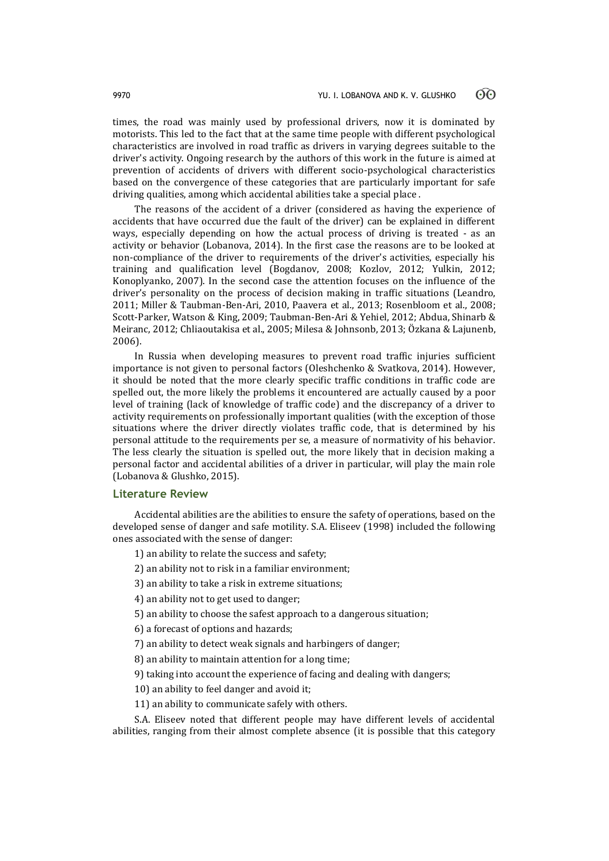times, the road was mainly used by professional drivers, now it is dominated by motorists. This led to the fact that at the same time people with different psychological characteristics are involved in road traffic as drivers in varying degrees suitable to the driver's activity. Ongoing research by the authors of this work in the future is aimed at prevention of accidents of drivers with different socio-psychological characteristics based on the convergence of these categories that are particularly important for safe driving qualities, among which accidental abilities take a special place .

The reasons of the accident of a driver (considered as having the experience of accidents that have occurred due the fault of the driver) can be explained in different ways, especially depending on how the actual process of driving is treated - as an activity or behavior (Lobanova, 2014). In the first case the reasons are to be looked at non-compliance of the driver to requirements of the driver's activities, especially his training and qualification level (Bogdanov, 2008; Kozlov, 2012; Yulkin, 2012; Konoplyanko, 2007). In the second case the attention focuses on the influence of the driver's personality on the process of decision making in traffic situations (Leandro, 2011; Miller & Taubman-Ben-Ari, 2010, Paavera et al., 2013; Rosenbloom et al., 2008; Scott-Parker, Watson & King, 2009; Taubman-Ben-Ari & Yehiel, 2012; Abdua, Shinarb & Meiranc, 2012; Chliaoutakisa et al., 2005; Milesa & Johnsonb, 2013; Özkana & Lajunenb, 2006).

In Russia when developing measures to prevent road traffic injuries sufficient importance is not given to personal factors (Oleshchenko & Svatkova, 2014). However, it should be noted that the more clearly specific traffic conditions in traffic code are spelled out, the more likely the problems it encountered are actually caused by a poor level of training (lack of knowledge of traffic code) and the discrepancy of a driver to activity requirements on professionally important qualities (with the exception of those situations where the driver directly violates traffic code, that is determined by his personal attitude to the requirements per se, a measure of normativity of his behavior. The less clearly the situation is spelled out, the more likely that in decision making a personal factor and accidental abilities of a driver in particular, will play the main role (Lobanova & Glushko, 2015).

### **Literature Review**

Accidental abilities are the abilities to ensure the safety of operations, based on the developed sense of danger and safe motility. S.A. Eliseev (1998) included the following ones associated with the sense of danger:

- 1) an ability to relate the success and safety;
- 2) an ability not to risk in a familiar environment;
- 3) an ability to take a risk in extreme situations;
- 4) an ability not to get used to danger;
- 5) an ability to choose the safest approach to a dangerous situation;
- 6) a forecast of options and hazards;
- 7) an ability to detect weak signals and harbingers of danger;
- 8) an ability to maintain attention for a long time;
- 9) taking into account the experience of facing and dealing with dangers;
- 10) an ability to feel danger and avoid it;
- 11) an ability to communicate safely with others.

S.A. Eliseev noted that different people may have different levels of accidental abilities, ranging from their almost complete absence (it is possible that this category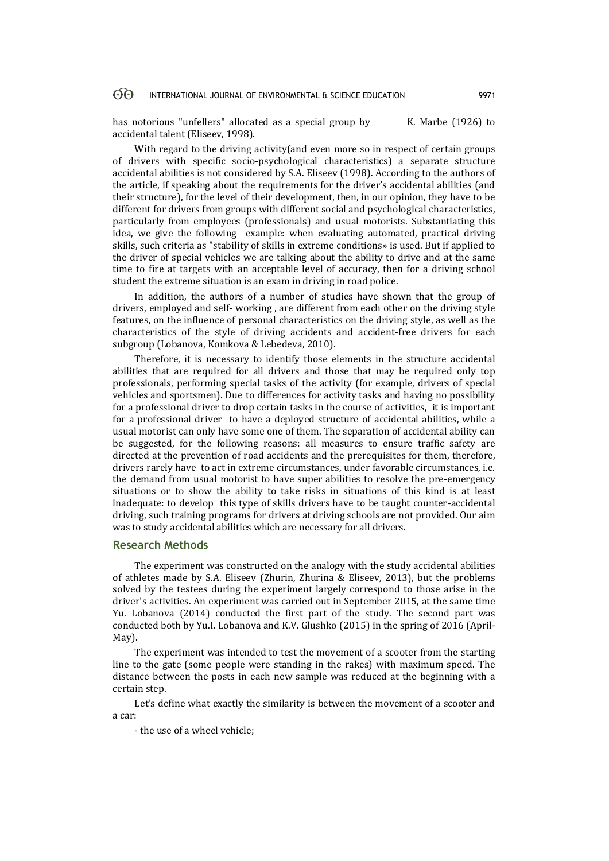#### 60 INTERNATIONAL JOURNAL OF ENVIRONMENTAL & SCIENCE EDUCATION 9971

has notorious "unfellers" allocated as a special group by K. Marbe (1926) to accidental talent (Eliseev, 1998).

With regard to the driving activity(and even more so in respect of certain groups of drivers with specific socio-psychological characteristics) a separate structure accidental abilities is not considered by S.A. Eliseev (1998). According to the authors of the article, if speaking about the requirements for the driver's accidental abilities (and their structure), for the level of their development, then, in our opinion, they have to be different for drivers from groups with different social and psychological characteristics, particularly from employees (professionals) and usual motorists. Substantiating this idea, we give the following example: when evaluating automated, practical driving skills, such criteria as "stability of skills in extreme conditions» is used. But if applied to the driver of special vehicles we are talking about the ability to drive and at the same time to fire at targets with an acceptable level of accuracy, then for a driving school student the extreme situation is an exam in driving in road police.

In addition, the authors of a number of studies have shown that the group of drivers, employed and self- working , are different from each other on the driving style features, on the influence of personal characteristics on the driving style, as well as the characteristics of the style of driving accidents and accident-free drivers for each subgroup (Lobanova, Komkova & Lebedeva, 2010).

Therefore, it is necessary to identify those elements in the structure accidental abilities that are required for all drivers and those that may be required only top professionals, performing special tasks of the activity (for example, drivers of special vehicles and sportsmen). Due to differences for activity tasks and having no possibility for a professional driver to drop certain tasks in the course of activities, it is important for a professional driver to have a deployed structure of accidental abilities, while a usual motorist can only have some one of them. The separation of accidental ability can be suggested, for the following reasons: all measures to ensure traffic safety are directed at the prevention of road accidents and the prerequisites for them, therefore, drivers rarely have to act in extreme circumstances, under favorable circumstances, i.e. the demand from usual motorist to have super abilities to resolve the pre-emergency situations or to show the ability to take risks in situations of this kind is at least inadequate: to develop this type of skills drivers have to be taught counter-accidental driving, such training programs for drivers at driving schools are not provided. Our aim was to study accidental abilities which are necessary for all drivers.

### **Research Methods**

The experiment was constructed on the analogy with the study accidental abilities of athletes made by S.A. Eliseev (Zhurin, Zhurina & Eliseev, 2013), but the problems solved by the testees during the experiment largely correspond to those arise in the driver's activities. An experiment was carried out in September 2015, at the same time Yu. Lobanova (2014) conducted the first part of the study. The second part was conducted both by Yu.I. Lobanova and K.V. Glushko (2015) in the spring of 2016 (April-May).

The experiment was intended to test the movement of a scooter from the starting line to the gate (some people were standing in the rakes) with maximum speed. The distance between the posts in each new sample was reduced at the beginning with a certain step.

Let's define what exactly the similarity is between the movement of a scooter and a car:

- the use of a wheel vehicle;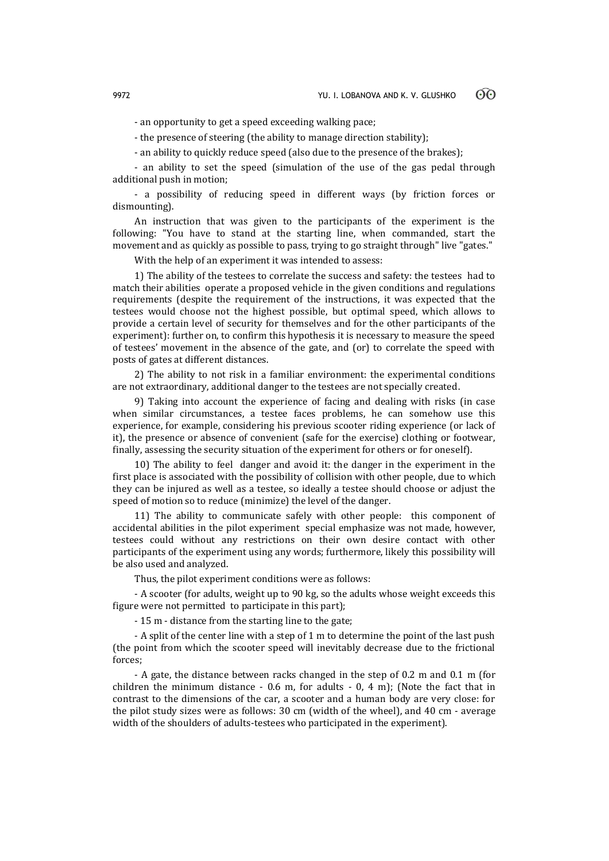- an opportunity to get a speed exceeding walking pace;

- the presence of steering (the ability to manage direction stability);

- an ability to quickly reduce speed (also due to the presence of the brakes);

- an ability to set the speed (simulation of the use of the gas pedal through additional push in motion;

- a possibility of reducing speed in different ways (by friction forces or dismounting).

An instruction that was given to the participants of the experiment is the following: "You have to stand at the starting line, when commanded, start the movement and as quickly as possible to pass, trying to go straight through" live "gates."

With the help of an experiment it was intended to assess:

1) The ability of the testees to correlate the success and safety: the testees had to match their abilities operate a proposed vehicle in the given conditions and regulations requirements (despite the requirement of the instructions, it was expected that the testees would choose not the highest possible, but optimal speed, which allows to provide a certain level of security for themselves and for the other participants of the experiment): further on, to confirm this hypothesis it is necessary to measure the speed of testees' movement in the absence of the gate, and (or) to correlate the speed with posts of gates at different distances.

2) The ability to not risk in a familiar environment: the experimental conditions are not extraordinary, additional danger to the testees are not specially created.

9) Taking into account the experience of facing and dealing with risks (in case when similar circumstances, a testee faces problems, he can somehow use this experience, for example, considering his previous scooter riding experience (or lack of it), the presence or absence of convenient (safe for the exercise) clothing or footwear, finally, assessing the security situation of the experiment for others or for oneself).

10) The ability to feel danger and avoid it: the danger in the experiment in the first place is associated with the possibility of collision with other people, due to which they can be injured as well as a testee, so ideally a testee should choose or adjust the speed of motion so to reduce (minimize) the level of the danger.

11) The ability to communicate safely with other people: this component of accidental abilities in the pilot experiment special emphasize was not made, however, testees could without any restrictions on their own desire contact with other participants of the experiment using any words; furthermore, likely this possibility will be also used and analyzed.

Thus, the pilot experiment conditions were as follows:

- A scooter (for adults, weight up to 90 kg, so the adults whose weight exceeds this figure were not permitted to participate in this part);

- 15 m - distance from the starting line to the gate;

- A split of the center line with a step of 1 m to determine the point of the last push (the point from which the scooter speed will inevitably decrease due to the frictional forces;

- A gate, the distance between racks changed in the step of 0.2 m and 0.1 m (for children the minimum distance - 0.6 m, for adults - 0, 4 m); (Note the fact that in contrast to the dimensions of the car, a scooter and a human body are very close: for the pilot study sizes were as follows: 30 cm (width of the wheel), and 40 cm - average width of the shoulders of adults-testees who participated in the experiment).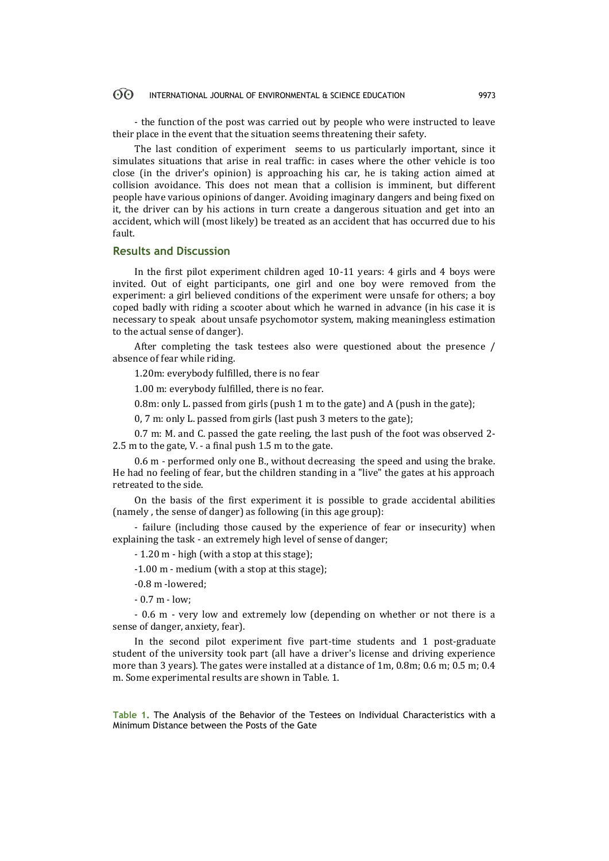#### $\odot$ INTERNATIONAL JOURNAL OF ENVIRONMENTAL & SCIENCE EDUCATION 9973

- the function of the post was carried out by people who were instructed to leave their place in the event that the situation seems threatening their safety.

The last condition of experiment seems to us particularly important, since it simulates situations that arise in real traffic: in cases where the other vehicle is too close (in the driver's opinion) is approaching his car, he is taking action aimed at collision avoidance. This does not mean that a collision is imminent, but different people have various opinions of danger. Avoiding imaginary dangers and being fixed on it, the driver can by his actions in turn create a dangerous situation and get into an accident, which will (most likely) be treated as an accident that has occurred due to his fault.

## **Results and Discussion**

In the first pilot experiment children aged 10-11 years: 4 girls and 4 boys were invited. Out of eight participants, one girl and one boy were removed from the experiment: a girl believed conditions of the experiment were unsafe for others; a boy coped badly with riding a scooter about which he warned in advance (in his case it is necessary to speak about unsafe psychomotor system, making meaningless estimation to the actual sense of danger).

After completing the task testees also were questioned about the presence / absence of fear while riding.

1.20m: everybody fulfilled, there is no fear

1.00 m: everybody fulfilled, there is no fear.

0.8m: only L. passed from girls (push 1 m to the gate) and A (push in the gate);

0, 7 m: only L. passed from girls (last push 3 meters to the gate);

0.7 m: M. and C. passed the gate reeling, the last push of the foot was observed 2- 2.5 m to the gate, V. - a final push 1.5 m to the gate.

0.6 m - performed only one B., without decreasing the speed and using the brake. He had no feeling of fear, but the children standing in a "live" the gates at his approach retreated to the side.

On the basis of the first experiment it is possible to grade accidental abilities (namely , the sense of danger) as following (in this age group):

- failure (including those caused by the experience of fear or insecurity) when explaining the task - an extremely high level of sense of danger;

- 1.20 m - high (with a stop at this stage);

-1.00 m - medium (with a stop at this stage);

-0.8 m -lowered;

- 0.7 m - low;

- 0.6 m - very low and extremely low (depending on whether or not there is a sense of danger, anxiety, fear).

In the second pilot experiment five part-time students and 1 post-graduate student of the university took part (all have a driver's license and driving experience more than 3 years). The gates were installed at a distance of 1m, 0.8m; 0.6 m; 0.5 m; 0.4 m. Some experimental results are shown in Table. 1.

**Table 1.** The Analysis of the Behavior of the Testees on Individual Characteristics with a Minimum Distance between the Posts of the Gate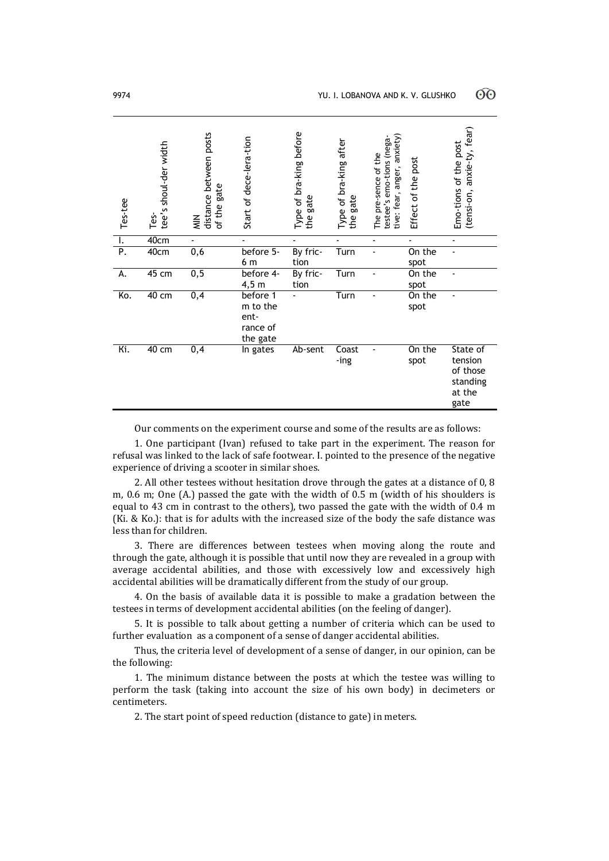| Tes-tee | tee's shoul-der width<br>Tes- | distance between posts<br>gate<br>of the<br>$\frac{Z}{Z}$ | Start of dece-lera-tion                              | Type of bra-king before<br>the gate<br><b>OD</b> | Type of bra-king after<br>gate<br>the | anxiety<br>testee's emo-tions (nega-<br>The pre-sence of the<br>tive: fear, anger, | Effect of the post | anxie-ty, fear)<br>Emo-tions of the post<br>(tensi-on,        |
|---------|-------------------------------|-----------------------------------------------------------|------------------------------------------------------|--------------------------------------------------|---------------------------------------|------------------------------------------------------------------------------------|--------------------|---------------------------------------------------------------|
| ۱.      | 40cm                          |                                                           |                                                      |                                                  |                                       | $\frac{1}{2}$                                                                      |                    | $\blacksquare$                                                |
| P.      | 40cm                          | 0,6                                                       | before 5-<br>6 m                                     | By fric-<br>tion                                 | Turn                                  |                                                                                    | On the<br>spot     |                                                               |
| А.      | $45 \text{ cm}$               | 0,5                                                       | before 4-<br>$4,5$ m                                 | By fric-<br>tion                                 | Turn                                  |                                                                                    | On the<br>spot     |                                                               |
| Ko.     | $\overline{40}$ cm            | $\overline{0,4}$                                          | before 1<br>m to the<br>ent-<br>rance of<br>the gate |                                                  | Turn                                  |                                                                                    | On the<br>spot     |                                                               |
| Ki.     | $\overline{40}$ cm            | $\overline{0,4}$                                          | In gates                                             | Ab-sent                                          | Coast<br>-ing                         |                                                                                    | On the<br>spot     | State of<br>tension<br>of those<br>standing<br>at the<br>gate |

Our comments on the experiment course and some of the results are as follows:

1. One participant (Ivan) refused to take part in the experiment. The reason for refusal was linked to the lack of safe footwear. I. pointed to the presence of the negative experience of driving a scooter in similar shoes.

2. All other testees without hesitation drove through the gates at a distance of 0, 8 m, 0.6 m; One (A.) passed the gate with the width of 0.5 m (width of his shoulders is equal to 43 cm in contrast to the others), two passed the gate with the width of 0.4 m (Ki. & Ko.): that is for adults with the increased size of the body the safe distance was less than for children.

3. There are differences between testees when moving along the route and through the gate, although it is possible that until now they are revealed in a group with average accidental abilities, and those with excessively low and excessively high accidental abilities will be dramatically different from the study of our group.

4. On the basis of available data it is possible to make a gradation between the testees in terms of development accidental abilities (on the feeling of danger).

5. It is possible to talk about getting a number of criteria which can be used to further evaluation as a component of a sense of danger accidental abilities.

Thus, the criteria level of development of a sense of danger, in our opinion, can be the following:

1. The minimum distance between the posts at which the testee was willing to perform the task (taking into account the size of his own body) in decimeters or centimeters.

2. The start point of speed reduction (distance to gate) in meters.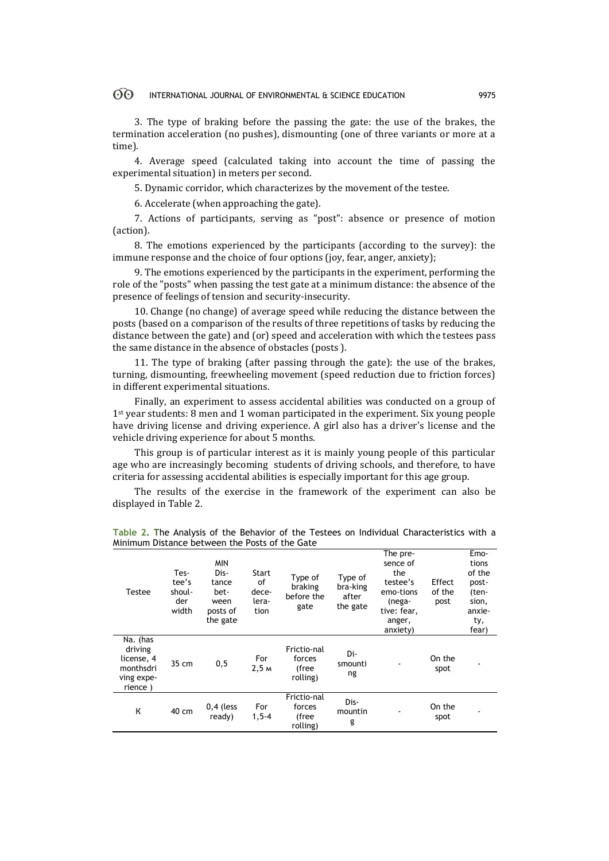#### $\odot$ INTERNATIONAL JOURNAL OF ENVIRONMENTAL & SCIENCE EDUCATION 9975

3. The type of braking before the passing the gate: the use of the brakes, the termination acceleration (no pushes), dismounting (one of three variants or more at a time).

4. Average speed (calculated taking into account the time of passing the experimental situation) in meters per second.

5. Dynamic corridor, which characterizes by the movement of the testee.

6. Accelerate (when approaching the gate).

7. Actions of participants, serving as "post": absence or presence of motion (action).

8. The emotions experienced by the participants (according to the survey): the immune response and the choice of four options (joy, fear, anger, anxiety);

9. The emotions experienced by the participants in the experiment, performing the role of the "posts" when passing the test gate at a minimum distance: the absence of the presence of feelings of tension and security-insecurity.

10. Change (no change) of average speed while reducing the distance between the posts (based on a comparison of the results of three repetitions of tasks by reducing the distance between the gate) and (or) speed and acceleration with which the testees pass the same distance in the absence of obstacles (posts ).

11. The type of braking (after passing through the gate): the use of the brakes, turning, dismounting, freewheeling movement (speed reduction due to friction forces) in different experimental situations.

Finally, an experiment to assess accidental abilities was conducted on a group of 1st year students: 8 men and 1 woman participated in the experiment. Six young people have driving license and driving experience. A girl also has a driver's license and the vehicle driving experience for about 5 months.

This group is of particular interest as it is mainly young people of this particular age who are increasingly becoming students of driving schools, and therefore, to have criteria for assessing accidental abilities is especially important for this age group.

The results of the exercise in the framework of the experiment can also be displayed in Table 2.

| Testee                                                                  | Tes-<br>tee's<br>shoul-<br>der<br>width | <b>MIN</b><br>Dis-<br>tance<br>bet-<br>ween<br>posts of<br>the gate | Start<br>of<br>dece-<br>lera-<br>tion | Type of<br>braking<br>before the<br>gate   | Type of<br>bra-king<br>after<br>the gate | The pre-<br>sence of<br>the<br>testee's<br>emo-tions<br>(nega-<br>tive: fear,<br>anger,<br>anxiety) | Effect<br>of the<br>post | Emo-<br>tions<br>of the<br>post-<br>(ten-<br>sion,<br>anxie-<br>ty,<br>fear) |
|-------------------------------------------------------------------------|-----------------------------------------|---------------------------------------------------------------------|---------------------------------------|--------------------------------------------|------------------------------------------|-----------------------------------------------------------------------------------------------------|--------------------------|------------------------------------------------------------------------------|
| Na. (has<br>driving<br>license, 4<br>monthsdri<br>ving expe-<br>rience) | 35 cm                                   | 0, 5                                                                | For<br>2,5m                           | Frictio-nal<br>forces<br>(free<br>rolling) | Di-<br>smounti<br>ng                     |                                                                                                     | On the<br>spot           |                                                                              |
| К                                                                       | 40 cm                                   | $0,4$ (less<br>ready)                                               | For<br>$1, 5 - 4$                     | Frictio-nal<br>forces<br>(free<br>rolling) | Dis-<br>mountin<br>g                     |                                                                                                     | On the<br>spot           |                                                                              |

**Table 2. T**he Analysis of the Behavior of the Testees on Individual Characteristics with a Minimum Distance between the Posts of the Gate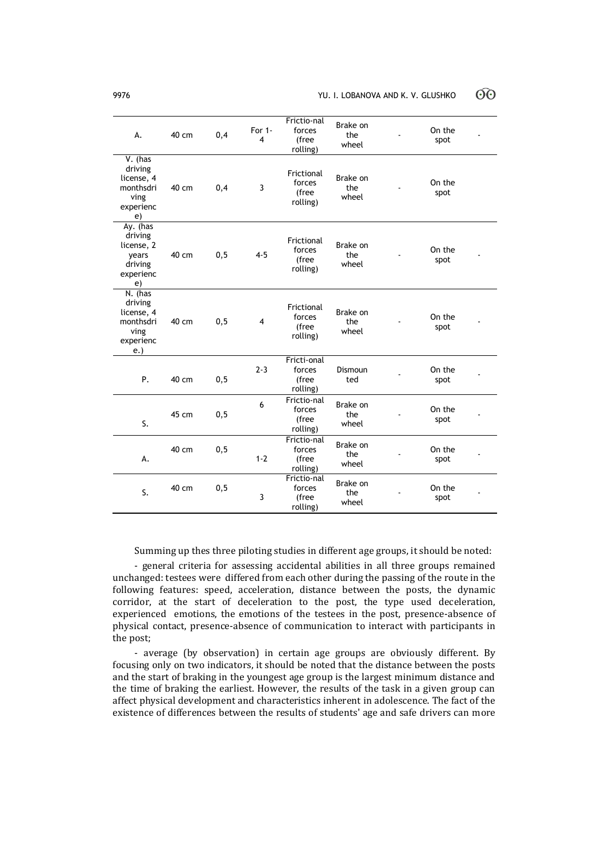| A.                                                                         | 40 cm | 0,4  | For $1 -$<br>4 | Frictio-nal<br>forces<br>(free<br>rolling) | Brake on<br>the<br>wheel | On the<br>spot |  |
|----------------------------------------------------------------------------|-------|------|----------------|--------------------------------------------|--------------------------|----------------|--|
| $V.$ (has<br>driving<br>license, 4<br>monthsdri<br>ving<br>experienc<br>e) | 40 cm | 0,4  | 3              | Frictional<br>forces<br>(free<br>rolling)  | Brake on<br>the<br>wheel | On the<br>spot |  |
| Ay. (has<br>driving<br>license, 2<br>vears<br>driving<br>experienc<br>e)   | 40 cm | 0, 5 | $4 - 5$        | Frictional<br>forces<br>(free<br>rolling)  | Brake on<br>the<br>wheel | On the<br>spot |  |
| N. (has<br>driving<br>license, 4<br>monthsdri<br>ving<br>experienc<br>e.   | 40 cm | 0, 5 | $\overline{4}$ | Frictional<br>forces<br>(free<br>rolling)  | Brake on<br>the<br>wheel | On the<br>spot |  |
| Ρ.                                                                         | 40 cm | 0, 5 | $2 - 3$        | Fricti-onal<br>forces<br>(free<br>rolling) | Dismoun<br>ted           | On the<br>spot |  |
| S.                                                                         | 45 cm | 0, 5 | 6              | Frictio-nal<br>forces<br>(free<br>rolling) | Brake on<br>the<br>wheel | On the<br>spot |  |
| А.                                                                         | 40 cm | 0, 5 | $1 - 2$        | Frictio-nal<br>forces<br>(free<br>rolling) | Brake on<br>the<br>wheel | On the<br>spot |  |
| S.                                                                         | 40 cm | 0, 5 | 3              | Frictio-nal<br>forces<br>(free<br>rolling) | Brake on<br>the<br>wheel | On the<br>spot |  |

Summing up thes three piloting studies in different age groups, it should be noted:

- general criteria for assessing accidental abilities in all three groups remained unchanged: testees were differed from each other during the passing of the route in the following features: speed, acceleration, distance between the posts, the dynamic corridor, at the start of deceleration to the post, the type used deceleration, experienced emotions, the emotions of the testees in the post, presence-absence of physical contact, presence-absence of communication to interact with participants in the post;

- average (by observation) in certain age groups are obviously different. By focusing only on two indicators, it should be noted that the distance between the posts and the start of braking in the youngest age group is the largest minimum distance and the time of braking the earliest. However, the results of the task in a given group can affect physical development and characteristics inherent in adolescence. The fact of the existence of differences between the results of students' age and safe drivers can more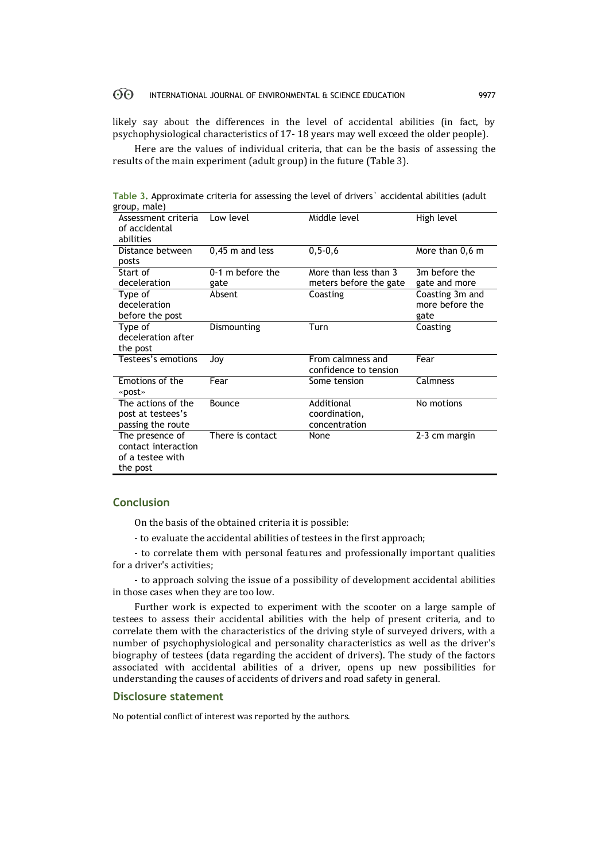#### $\odot$ INTERNATIONAL JOURNAL OF ENVIRONMENTAL & SCIENCE EDUCATION 9977

likely say about the differences in the level of accidental abilities (in fact, by psychophysiological characteristics of 17- 18 years may well exceed the older people).

Here are the values of individual criteria, that can be the basis of assessing the results of the main experiment (adult group) in the future (Table 3).

**Table 3.** Approximate criteria for assessing the level of drivers` accidental abilities (adult group, male)

| Assessment criteria<br>of accidental<br>abilities | Low level         | Middle level           | High level      |
|---------------------------------------------------|-------------------|------------------------|-----------------|
| Distance between                                  | $0,45$ m and less | $0, 5 - 0, 6$          | More than 0,6 m |
| posts                                             |                   |                        |                 |
| Start of                                          | 0-1 m before the  | More than less than 3  | 3m before the   |
| deceleration                                      | gate              | meters before the gate | gate and more   |
| Type of                                           | Absent            | Coasting               | Coasting 3m and |
| deceleration                                      |                   |                        | more before the |
| before the post                                   |                   |                        | gate            |
| Type of                                           | Dismounting       | Turn                   | Coasting        |
| deceleration after                                |                   |                        |                 |
| the post                                          |                   |                        |                 |
| Testees's emotions                                | Jov               | From calmness and      | Fear            |
|                                                   |                   | confidence to tension  |                 |
| Emotions of the                                   | Fear              | Some tension           | Calmness        |
| «post»                                            |                   |                        |                 |
| The actions of the                                | Bounce            | Additional             | No motions      |
| post at testees's                                 |                   | coordination,          |                 |
| passing the route                                 |                   | concentration          |                 |
| The presence of                                   | There is contact  | None                   | 2-3 cm margin   |
| contact interaction                               |                   |                        |                 |
| of a testee with                                  |                   |                        |                 |
| the post                                          |                   |                        |                 |

# **Conclusion**

On the basis of the obtained criteria it is possible:

- to evaluate the accidental abilities of testees in the first approach;

- to correlate them with personal features and professionally important qualities for a driver's activities;

- to approach solving the issue of a possibility of development accidental abilities in those cases when they are too low.

Further work is expected to experiment with the scooter on a large sample of testees to assess their accidental abilities with the help of present criteria, and to correlate them with the characteristics of the driving style of surveyed drivers, with a number of psychophysiological and personality characteristics as well as the driver's biography of testees (data regarding the accident of drivers). The study of the factors associated with accidental abilities of a driver, opens up new possibilities for understanding the causes of accidents of drivers and road safety in general.

#### **Disclosure statement**

No potential conflict of interest was reported by the authors.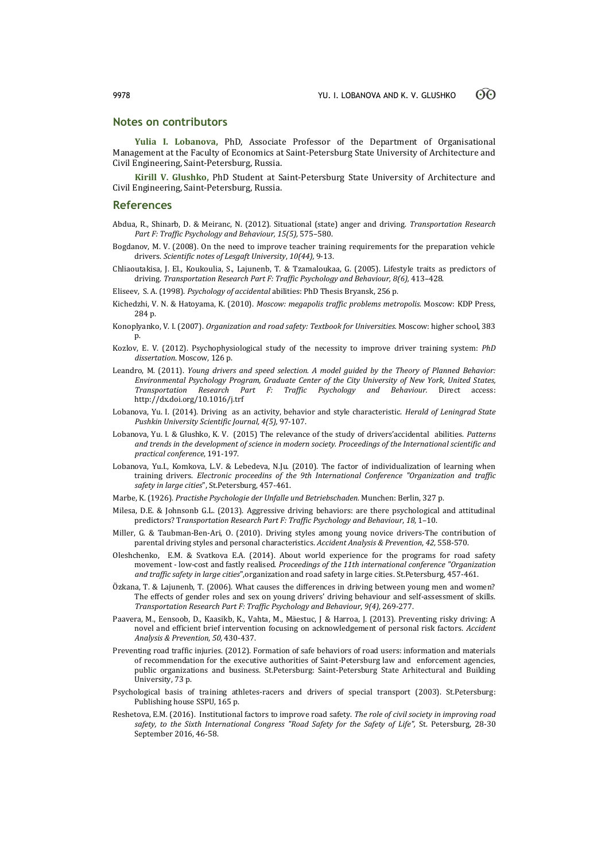## **Notes on contributors**

**Yulia I. Lobanova,** PhD, Associate Professor of the Department of Organisational Management at the Faculty of Economics at Saint-Petersburg State University of Architecture and Civil Engineering, Saint-Petersburg, Russia.

**Kirill V. Glushko,** PhD Student at Saint-Petersburg State University of Architecture and Civil Engineering, Saint-Petersburg, Russia.

#### **References**

- Abdua, R., Shinarb, D. & Meiranc, N. (2012). Situational (state) anger and driving. *Transportation Research Part F: Traffic Psychology and Behaviour, 15(5),* 575–580.
- Bogdanov, M. V. (2008). On the need to improve teacher training requirements for the preparation vehicle drivers. *Scientific notes of Lesgaft University*, *10(44),* 9-13.
- Chliaoutakisa, J. El., Koukoulia, S., Lajunenb, T. & Tzamaloukaa, G. (2005). Lifestyle traits as predictors of driving. *Transportation Research Part F: Traffic Psychology and Behaviour, 8(6),* 413–428.

Eliseev, S. A. (1998). *Psychology of accidental* abilities: PhD Thesis Bryansk, 256 p.

- Kichedzhi, V. N. & Hatoyama, K. (2010). *Moscow: megapolis traffic problems metropolis.* Moscow: KDP Press, 284 p.
- Konoplyanko, V. I. (2007). *Organization and road safety: Textbook for Universities.* Moscow: higher school, 383 p.
- Kozlov, E. V. (2012). Psychophysiological study of the necessity to improve driver training system: *PhD dissertation*. Moscow, 126 p.
- Leandro, M. (2011). *Young drivers and speed selection. A model guided by the Theory of Planned Behavior: Environmental Psychology Program, Graduate Center of the City University of New York, United States, Transportation Research Part F: Traffic Psychology and Behaviour.* Direct access: <http://dx.doi.org/10.1016/j.trf>
- Lobanova, Yu. I. (2014). Driving as an activity, behavior and style characteristic. *Herald of Leningrad State Pushkin University Scientific Journal, 4(5),* 97-107.
- Lobanova, Yu. I. & Glushko, K. V. (2015) The relevance of the study of drivers'accidental abilities. *Patterns and trends in the development of science in modern society. Proceedings of the International scientific and practical conference*, 191-197.
- Lobanova, Yu.I., Komkova, L.V. & Lebedeva, N.Ju. (2010). The factor of individualization of learning when training drivers. *Electronic proceedins of the 9th International Conference "Organization and traffic safety in large cities*", St.Petersburg, 457-461.
- Marbe, K. (1926). *Practishe Psychologie der Unfalle und Betriebschaden.* Munchen: Berlin, 327 p.
- Milesa, D.E. & Johnsonb G.L. (2013). Aggressive driving behaviors: are there psychological and attitudinal predictors? T*ransportation Research Part F: Traffic Psychology and Behaviour*, *18,* 1–10.
- Miller, G. & Taubman-Ben-Ari, O. (2010). Driving styles among young novice drivers-The contribution of parental driving styles and personal characteristics. *Accident Analysis & Prevention*, *42,* 558-570.
- Oleshchenko, E.M. & Svatkova E.A. (2014). About world experience for the programs for road safety movement - low-cost and fastly realised. *Proceedings of the 11th international conference "Organization and traffic safety in large cities*",organization and road safety in large cities. St.Petersburg, 457-461.
- Özkana, T. & Lajunenb, T. (2006). What causes the differences in driving between young men and women? The effects of gender roles and sex on young drivers' driving behaviour and self-assessment of skills. *Transportation Research Part F: Traffic Psychology and Behaviour*, *9(4),* 269-277.
- Paavera, M., Eensoob, D., Kaasikb, K., Vahta, M., Mäestuc, J & Harroa, J. (2013). Preventing risky driving: A novel and efficient brief intervention focusing on acknowledgement of personal risk factors. *Accident Analysis & Prevention*, *50,* 430-437.
- Preventing road traffic injuries. (2012). Formation of safe behaviors of road users: information and materials of recommendation for the executive authorities of Saint-Petersburg law and enforcement agencies, public organizations and business. St.Petersburg: Saint-Petersburg State Arhitectural and Building University, 73 p.
- Psychological basis of training athletes-racers and drivers of special transport (2003). St.Petersburg: Publishing house SSPU, 165 p.
- Reshetova, E.M. (2016). Institutional factors to improve road safety. *The role of civil society in improving road safety, to the Sixth International Congress "Road Safety for the Safety of Life",* St. Petersburg, 28-30 September 2016, 46-58.